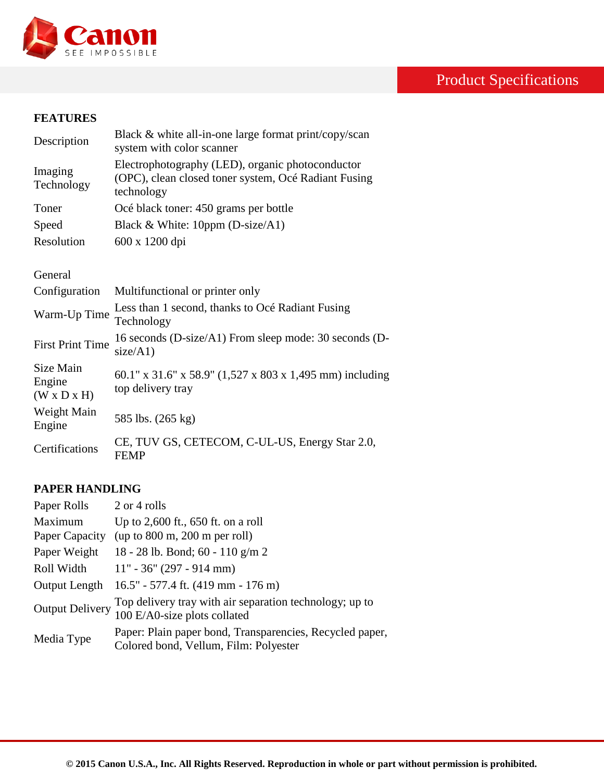

# Product Specifications

#### **FEATURES**

| Description                                    | Black & white all-in-one large format print/copy/scan<br>system with color scanner                                     |
|------------------------------------------------|------------------------------------------------------------------------------------------------------------------------|
| Imaging<br>Technology                          | Electrophotography (LED), organic photoconductor<br>(OPC), clean closed toner system, Océ Radiant Fusing<br>technology |
| Toner                                          | Océ black toner: 450 grams per bottle                                                                                  |
| Speed                                          | Black & White: 10ppm ( $D\text{-size}/A1$ )                                                                            |
| Resolution                                     | 600 x 1200 dpi                                                                                                         |
|                                                |                                                                                                                        |
| General                                        |                                                                                                                        |
| Configuration                                  | Multifunctional or printer only                                                                                        |
| Warm-Up Time                                   | Less than 1 second, thanks to Océ Radiant Fusing<br>Technology                                                         |
| <b>First Print Time</b>                        | 16 seconds (D-size/A1) From sleep mode: 30 seconds (D-<br>size/A1)                                                     |
| Size Main<br>Engine<br>$(W \times D \times H)$ | 60.1" x 31.6" x 58.9" (1,527 x 803 x 1,495 mm) including<br>top delivery tray                                          |
| Weight Main<br>Engine                          | 585 lbs. (265 kg)                                                                                                      |
| Certifications                                 | CE, TUV GS, CETECOM, C-UL-US, Energy Star 2.0,<br><b>FEMP</b>                                                          |

## **PAPER HANDLING**

Client

| Paper Rolls            | 2 or 4 rolls                                                                                      |
|------------------------|---------------------------------------------------------------------------------------------------|
| Maximum                | Up to $2,600$ ft., 650 ft. on a roll                                                              |
| Paper Capacity         | (up to 800 m, 200 m per roll)                                                                     |
| Paper Weight           | 18 - 28 lb. Bond; 60 - 110 g/m 2                                                                  |
| Roll Width             | $11" - 36" (297 - 914 mm)$                                                                        |
| Output Length          | $16.5" - 577.4$ ft. (419 mm - 176 m)                                                              |
| <b>Output Delivery</b> | Top delivery tray with air separation technology; up to<br>100 E/A0-size plots collated           |
| Media Type             | Paper: Plain paper bond, Transparencies, Recycled paper,<br>Colored bond, Vellum, Film: Polyester |

2003®/ Windows Terminal Server®, Citrix® Metaframe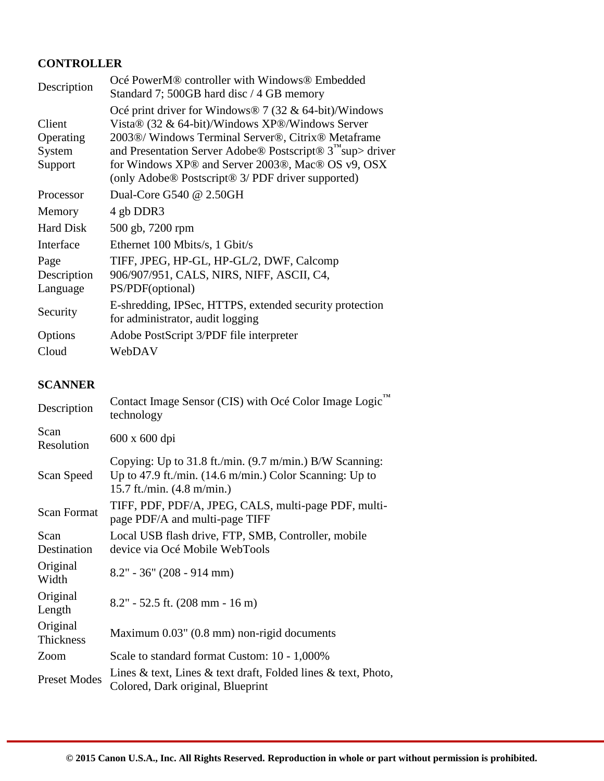# **CONTROLLER**

| Description                              | Océ PowerM <sup>®</sup> controller with Windows <sup>®</sup> Embedded<br>Standard 7; 500GB hard disc / 4 GB memory                                                                                                                                                                                                                                                       |
|------------------------------------------|--------------------------------------------------------------------------------------------------------------------------------------------------------------------------------------------------------------------------------------------------------------------------------------------------------------------------------------------------------------------------|
| Client<br>Operating<br>System<br>Support | Océ print driver for Windows® 7 (32 & 64-bit)/Windows<br>Vista $\circledR$ (32 & 64-bit)/Windows XP $\circledR$ /Windows Server<br>2003®/ Windows Terminal Server®, Citrix® Metaframe<br>and Presentation Server Adobe® Postscript® 3 <sup>™</sup> sup> driver<br>for Windows XP® and Server 2003®, Mac® OS v9, OSX<br>(only Adobe® Postscript® 3/ PDF driver supported) |
| Processor                                | Dual-Core G540 @ 2.50GH                                                                                                                                                                                                                                                                                                                                                  |
| Memory                                   | 4 gb DDR3                                                                                                                                                                                                                                                                                                                                                                |
| <b>Hard Disk</b>                         | 500 gb, 7200 rpm                                                                                                                                                                                                                                                                                                                                                         |
| Interface                                | Ethernet 100 Mbits/s, 1 Gbit/s                                                                                                                                                                                                                                                                                                                                           |
| Page<br>Description<br>Language          | TIFF, JPEG, HP-GL, HP-GL/2, DWF, Calcomp<br>906/907/951, CALS, NIRS, NIFF, ASCII, C4,<br>PS/PDF(optional)                                                                                                                                                                                                                                                                |
| Security                                 | E-shredding, IPSec, HTTPS, extended security protection<br>for administrator, audit logging                                                                                                                                                                                                                                                                              |
| Options                                  | Adobe PostScript 3/PDF file interpreter                                                                                                                                                                                                                                                                                                                                  |
| Cloud                                    | WebDAV                                                                                                                                                                                                                                                                                                                                                                   |

## **SCANNER**

| Description                  | Contact Image Sensor (CIS) with Océ Color Image Logic™<br>technology                                                                                                           |
|------------------------------|--------------------------------------------------------------------------------------------------------------------------------------------------------------------------------|
| Scan<br>Resolution           | 600 x 600 dpi                                                                                                                                                                  |
| Scan Speed                   | Copying: Up to 31.8 ft./min. $(9.7 \text{ m/min.})$ B/W Scanning:<br>Up to 47.9 ft./min. $(14.6 \text{ m/min.})$ Color Scanning: Up to<br>15.7 ft./min. $(4.8 \text{ m/min.})$ |
| <b>Scan Format</b>           | TIFF, PDF, PDF/A, JPEG, CALS, multi-page PDF, multi-<br>page PDF/A and multi-page TIFF                                                                                         |
| Scan                         | Local USB flash drive, FTP, SMB, Controller, mobile                                                                                                                            |
| Destination                  | device via Océ Mobile WebTools                                                                                                                                                 |
| Original<br>Width            | $8.2" - 36" (208 - 914 mm)$                                                                                                                                                    |
| Original<br>Length           | $8.2$ " - 52.5 ft. (208 mm - 16 m)                                                                                                                                             |
| Original<br><b>Thickness</b> | Maximum 0.03" (0.8 mm) non-rigid documents                                                                                                                                     |
| Zoom                         | Scale to standard format Custom: 10 - 1,000%                                                                                                                                   |
| <b>Preset Modes</b>          | Lines & text, Lines & text draft, Folded lines & text, Photo,<br>Colored, Dark original, Blueprint                                                                             |